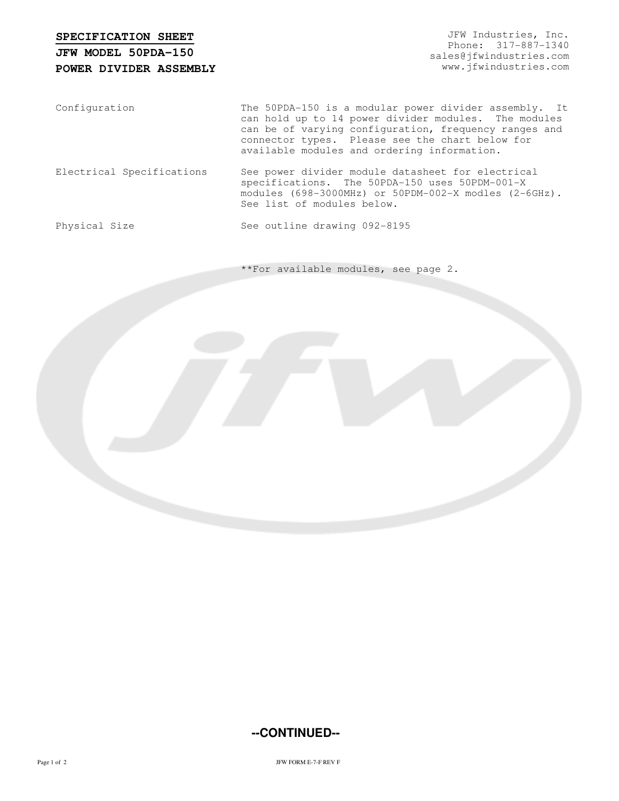## **SPECIFICATION SHEET**

## **POWER DIVIDER ASSEMBLY JFW MODEL 50PDA-150**

JFW Industries, Inc. Phone: 317-887-1340 sales@jfwindustries.com www.jfwindustries.com

Configuration The 50PDA-150 is a modular power divider assembly. It can hold up to 14 power divider modules. The modules can be of varying configuration, frequency ranges and connector types. Please see the chart below for available modules and ordering information.

Electrical Specifications See power divider module datasheet for electrical specifications. The 50PDA-150 uses 50PDM-001-X modules (698-3000MHz) or 50PDM-002-X modles (2-6GHz). See list of modules below.

Physical Size See outline drawing 092-8195

\*\*For available modules, see page 2.